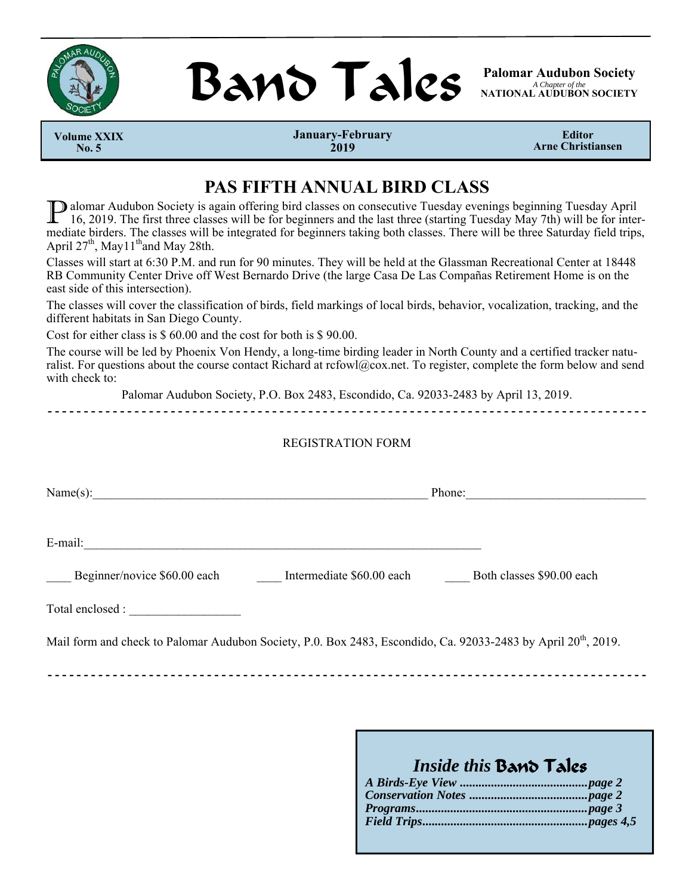



*A Chapter of the*  **NATIONAL AUDUBON SOCIETY** 

 **Volume XXIX No. 5** 

**January-February 2019** 

**Editor Arne Christiansen** 

## **PAS FIFTH ANNUAL BIRD CLASS**

P alomar Audubon Society is again offering bird classes on consecutive Tuesday evenings beginning Tuesday April 16, 2019. The first three classes will be for beginners and the last three (starting Tuesday May 7th) will be for intermediate birders. The classes will be integrated for beginners taking both classes. There will be three Saturday field trips, April  $27<sup>th</sup>$ , May  $11<sup>th</sup>$  and May 28th.

Classes will start at 6:30 P.M. and run for 90 minutes. They will be held at the Glassman Recreational Center at 18448 RB Community Center Drive off West Bernardo Drive (the large Casa De Las Compañas Retirement Home is on the east side of this intersection).

The classes will cover the classification of birds, field markings of local birds, behavior, vocalization, tracking, and the different habitats in San Diego County.

Cost for either class is \$ 60.00 and the cost for both is \$ 90.00.

The course will be led by Phoenix Von Hendy, a long-time birding leader in North County and a certified tracker naturalist. For questions about the course contact Richard at rcfowl@cox.net. To register, complete the form below and send with check to:

Palomar Audubon Society, P.O. Box 2483, Escondido, Ca. 92033-2483 by April 13, 2019.

**- - - - - - - - - - - - - - - - - - - - - - - - - - - - - - - - - - - - - - - - - - - - - - - - - - - - - - - - - - - - - - - - - - - - - - - - - - - - - - - - - - -** 

#### REGISTRATION FORM

|                                                                                                                            | Phone:                    |
|----------------------------------------------------------------------------------------------------------------------------|---------------------------|
| E-mail:                                                                                                                    |                           |
| Beginner/novice \$60.00 each<br>Intermediate \$60.00 each                                                                  | Both classes \$90.00 each |
| Total enclosed :                                                                                                           |                           |
| Mail form and check to Palomar Audubon Society, P.0. Box 2483, Escondido, Ca. 92033-2483 by April 20 <sup>th</sup> , 2019. |                           |

## *Inside this* Band Tales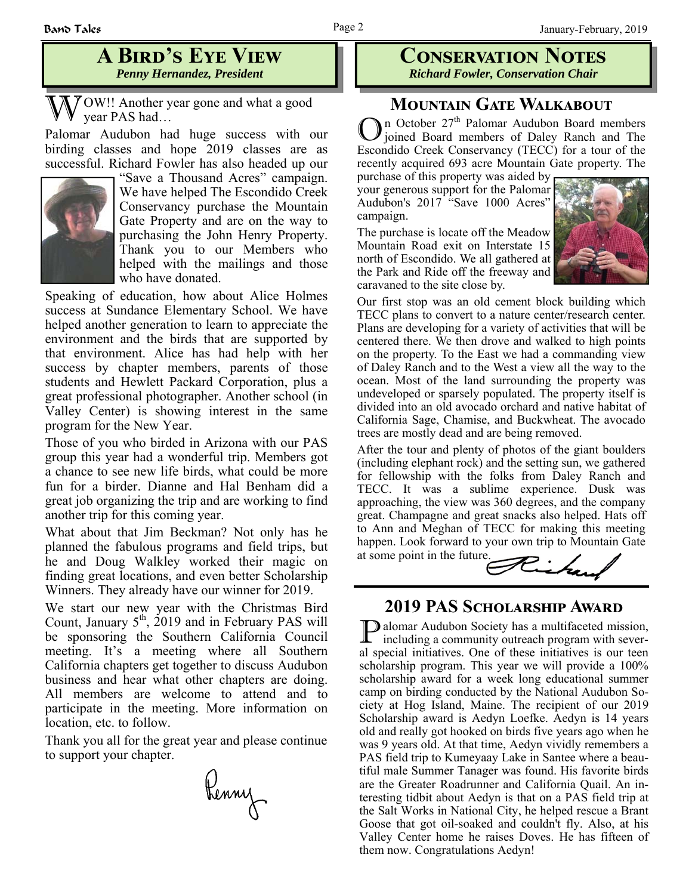## **A BIRD'S EYE VIEW** *Penny Hernandez, President*

 $\sqrt{\frac{7}{9}}$  OW!! Another year gone and what a good year PAS had…

Palomar Audubon had huge success with our birding classes and hope 2019 classes are as successful. Richard Fowler has also headed up our



"Save a Thousand Acres" campaign. We have helped The Escondido Creek Conservancy purchase the Mountain Gate Property and are on the way to purchasing the John Henry Property. Thank you to our Members who helped with the mailings and those who have donated.

Speaking of education, how about Alice Holmes success at Sundance Elementary School. We have helped another generation to learn to appreciate the environment and the birds that are supported by that environment. Alice has had help with her success by chapter members, parents of those students and Hewlett Packard Corporation, plus a great professional photographer. Another school (in Valley Center) is showing interest in the same program for the New Year.

Those of you who birded in Arizona with our PAS group this year had a wonderful trip. Members got a chance to see new life birds, what could be more fun for a birder. Dianne and Hal Benham did a great job organizing the trip and are working to find another trip for this coming year.

What about that Jim Beckman? Not only has he planned the fabulous programs and field trips, but he and Doug Walkley worked their magic on finding great locations, and even better Scholarship Winners. They already have our winner for 2019.

We start our new year with the Christmas Bird Count, January  $5<sup>th</sup>$ , 2019 and in February PAS will be sponsoring the Southern California Council meeting. It's a meeting where all Southern California chapters get together to discuss Audubon business and hear what other chapters are doing. All members are welcome to attend and to participate in the meeting. More information on location, etc. to follow.

Thank you all for the great year and please continue to support your chapter.

Renny

#### **CONSERVATION NOTES** *Richard Fowler, Conservation Chair*

## **MOUNTAIN GATE WALKABOUT**

On October 27<sup>th</sup> Palomar Audubon Board members of Daley Ranch and The Escondido Creek Conservancy (TECC) for a tour of the recently acquired 693 acre Mountain Gate property. The

purchase of this property was aided by your generous support for the Palomar Audubon's 2017 "Save 1000 Acres" campaign.

The purchase is locate off the Meadow Mountain Road exit on Interstate 15 north of Escondido. We all gathered at the Park and Ride off the freeway and caravaned to the site close by.



Our first stop was an old cement block building which TECC plans to convert to a nature center/research center. Plans are developing for a variety of activities that will be centered there. We then drove and walked to high points on the property. To the East we had a commanding view of Daley Ranch and to the West a view all the way to the ocean. Most of the land surrounding the property was undeveloped or sparsely populated. The property itself is divided into an old avocado orchard and native habitat of California Sage, Chamise, and Buckwheat. The avocado trees are mostly dead and are being removed.

After the tour and plenty of photos of the giant boulders (including elephant rock) and the setting sun, we gathered for fellowship with the folks from Daley Ranch and TECC. It was a sublime experience. Dusk was approaching, the view was 360 degrees, and the company great. Champagne and great snacks also helped. Hats off to Ann and Meghan of TECC for making this meeting happen. Look forward to your own trip to Mountain Gate at some point in the future.



## **2019 PAS SCHOLARSHIP AWARD**

P alomar Audubon Society has a multifaceted mission, including a community outreach program with several special initiatives. One of these initiatives is our teen scholarship program. This year we will provide a 100% scholarship award for a week long educational summer camp on birding conducted by the National Audubon Society at Hog Island, Maine. The recipient of our 2019 Scholarship award is Aedyn Loefke. Aedyn is 14 years old and really got hooked on birds five years ago when he was 9 years old. At that time, Aedyn vividly remembers a PAS field trip to Kumeyaay Lake in Santee where a beautiful male Summer Tanager was found. His favorite birds are the Greater Roadrunner and California Quail. An interesting tidbit about Aedyn is that on a PAS field trip at the Salt Works in National City, he helped rescue a Brant Goose that got oil-soaked and couldn't fly. Also, at his Valley Center home he raises Doves. He has fifteen of them now. Congratulations Aedyn!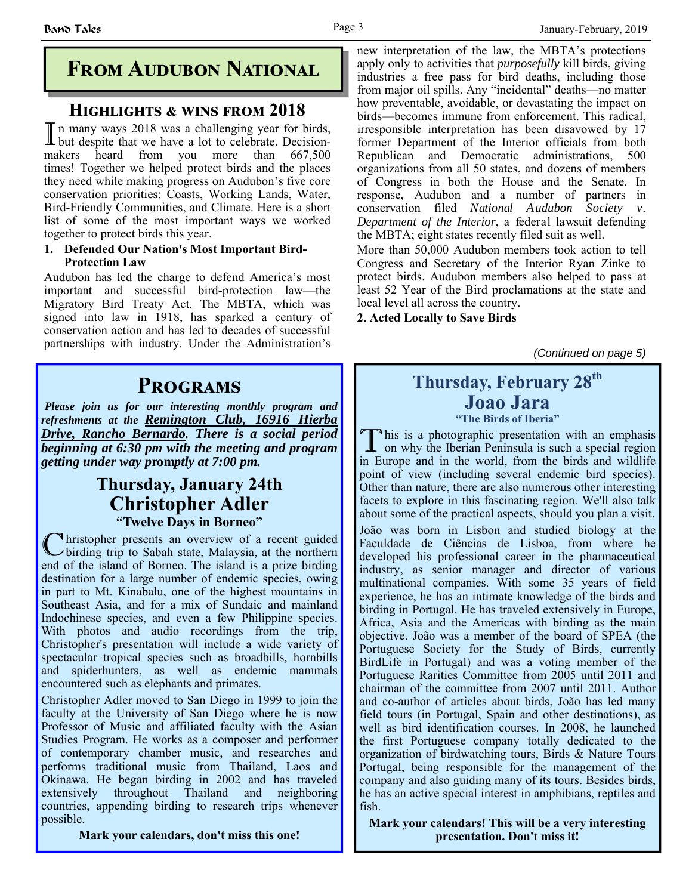# **FROM AUDUBON NATIONAL**

### **HIGHLIGHTS & WINS FROM 2018**

In many ways 2018 was a challenging year for birds, but despite that we have a lot to celebrate. Decisionmakers heard from you more than 667,500 times! Together we helped protect birds and the places they need while making progress on Audubon's five core conservation priorities: Coasts, Working Lands, Water, Bird-Friendly Communities, and Climate. Here is a short list of some of the most important ways we worked together to protect birds this year.

#### **1. Defended Our Nation's Most Important Bird-Protection Law**

Audubon has led the charge to defend America's most important and successful bird-protection law—the Migratory Bird Treaty Act. The MBTA, which was signed into law in 1918, has sparked a century of conservation action and has led to decades of successful partnerships with industry. Under the Administration's

# **PROGRAMS**

*Please join us for our interesting monthly program and refreshments at the Remington Club, 16916 Hierba Drive, Rancho Bernardo. There is a social period beginning at 6:30 pm with the meeting and program getting under way p***rom***ptly at 7:00 pm.*

## **Thursday, January 24th Christopher Adler "Twelve Days in Borneo"**

C hristopher presents an overview of a recent guided birding trip to Sabah state, Malaysia, at the northern end of the island of Borneo. The island is a prize birding destination for a large number of endemic species, owing in part to Mt. Kinabalu, one of the highest mountains in Southeast Asia, and for a mix of Sundaic and mainland Indochinese species, and even a few Philippine species. With photos and audio recordings from the trip, Christopher's presentation will include a wide variety of spectacular tropical species such as broadbills, hornbills and spiderhunters, as well as endemic mammals encountered such as elephants and primates.

Christopher Adler moved to San Diego in 1999 to join the faculty at the University of San Diego where he is now Professor of Music and affiliated faculty with the Asian Studies Program. He works as a composer and performer of contemporary chamber music, and researches and performs traditional music from Thailand, Laos and Okinawa. He began birding in 2002 and has traveled extensively throughout Thailand and neighboring countries, appending birding to research trips whenever possible.

**Mark your calendars, don't miss this one!** 

new interpretation of the law, the MBTA's protections apply only to activities that *purposefully* kill birds, giving industries a free pass for bird deaths, including those from major oil spills. Any "incidental" deaths—no matter how preventable, avoidable, or devastating the impact on birds—becomes immune from enforcement. This radical, irresponsible interpretation has been disavowed by 17 former Department of the Interior officials from both Republican and Democratic administrations, 500 organizations from all 50 states, and dozens of members of Congress in both the House and the Senate. In response, Audubon and a number of partners in conservation filed *National Audubon Society v. Department of the Interior*, a federal lawsuit defending the MBTA; eight states recently filed suit as well.

More than 50,000 Audubon members took action to tell Congress and Secretary of the Interior Ryan Zinke to protect birds. Audubon members also helped to pass at least 52 Year of the Bird proclamations at the state and local level all across the country.

**2. Acted Locally to Save Birds** 

*(Continued on page 5)* 

# **Thursday, February 28th Joao Jara**

**"The Birds of Iberia"**

This is a photographic presentation with an emphasis on why the Iberian Peninsula is such a special region in Europe and in the world, from the birds and wildlife point of view (including several endemic bird species). Other than nature, there are also numerous other interesting facets to explore in this fascinating region. We'll also talk about some of the practical aspects, should you plan a visit. João was born in Lisbon and studied biology at the Faculdade de Ciências de Lisboa, from where he developed his professional career in the pharmaceutical industry, as senior manager and director of various multinational companies. With some 35 years of field experience, he has an intimate knowledge of the birds and birding in Portugal. He has traveled extensively in Europe, Africa, Asia and the Americas with birding as the main objective. João was a member of the board of SPEA (the Portuguese Society for the Study of Birds, currently BirdLife in Portugal) and was a voting member of the Portuguese Rarities Committee from 2005 until 2011 and chairman of the committee from 2007 until 2011. Author and co-author of articles about birds, João has led many field tours (in Portugal, Spain and other destinations), as well as bird identification courses. In 2008, he launched the first Portuguese company totally dedicated to the organization of birdwatching tours, Birds & Nature Tours Portugal, being responsible for the management of the company and also guiding many of its tours. Besides birds, he has an active special interest in amphibians, reptiles and fish.

**Mark your calendars! This will be a very interesting presentation. Don't miss it!**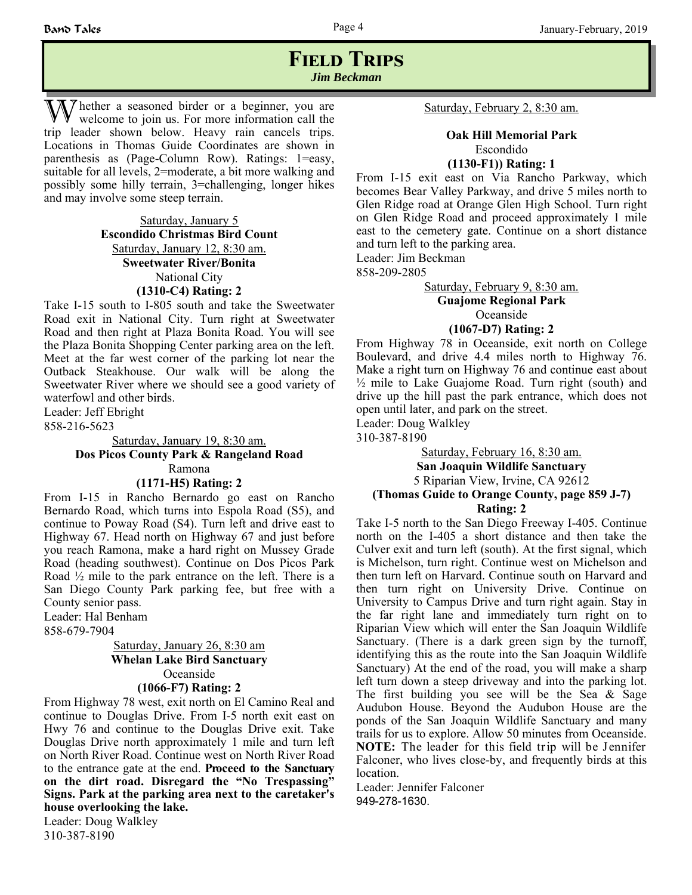## **FIELD TRIPS** *Jim Beckman*

The ther a seasoned birder or a beginner, you are welcome to join us. For more information call the trip leader shown below. Heavy rain cancels trips. Locations in Thomas Guide Coordinates are shown in parenthesis as (Page-Column Row). Ratings: 1=easy, suitable for all levels, 2=moderate, a bit more walking and possibly some hilly terrain, 3=challenging, longer hikes and may involve some steep terrain.

> Saturday, January 5 **Escondido Christmas Bird Count** Saturday, January 12, 8:30 am. **Sweetwater River/Bonita**  National City **(1310-C4) Rating: 2**

Take I-15 south to I-805 south and take the Sweetwater Road exit in National City. Turn right at Sweetwater Road and then right at Plaza Bonita Road. You will see the Plaza Bonita Shopping Center parking area on the left. Meet at the far west corner of the parking lot near the Outback Steakhouse. Our walk will be along the Sweetwater River where we should see a good variety of waterfowl and other birds.

Leader: Jeff Ebright

858-216-5623

Saturday, January 19, 8:30 am. **Dos Picos County Park & Rangeland Road** Ramona **(1171-H5) Rating: 2**

From I-15 in Rancho Bernardo go east on Rancho Bernardo Road, which turns into Espola Road (S5), and continue to Poway Road (S4). Turn left and drive east to Highway 67. Head north on Highway 67 and just before you reach Ramona, make a hard right on Mussey Grade Road (heading southwest). Continue on Dos Picos Park Road ½ mile to the park entrance on the left. There is a San Diego County Park parking fee, but free with a County senior pass.

Leader: Hal Benham 858-679-7904

#### Saturday, January 26, 8:30 am **Whelan Lake Bird Sanctuary** Oceanside

#### **(1066-F7) Rating: 2**

From Highway 78 west, exit north on El Camino Real and continue to Douglas Drive. From I-5 north exit east on Hwy 76 and continue to the Douglas Drive exit. Take Douglas Drive north approximately 1 mile and turn left on North River Road. Continue west on North River Road to the entrance gate at the end. **Proceed to the Sanctuary on the dirt road. Disregard the "No Trespassing" Signs. Park at the parking area next to the caretaker's house overlooking the lake.**

Leader: Doug Walkley 310-387-8190

Saturday, February 2, 8:30 am.

#### **Oak Hill Memorial Park**  Escondido

**(1130-F1)) Rating: 1**

From I-15 exit east on Via Rancho Parkway, which becomes Bear Valley Parkway, and drive 5 miles north to Glen Ridge road at Orange Glen High School. Turn right on Glen Ridge Road and proceed approximately 1 mile east to the cemetery gate. Continue on a short distance and turn left to the parking area.

Leader: Jim Beckman

858-209-2805

#### Saturday, February 9, 8:30 am. **Guajome Regional Park** Oceanside

#### **(1067-D7) Rating: 2**

From Highway 78 in Oceanside, exit north on College Boulevard, and drive 4.4 miles north to Highway 76. Make a right turn on Highway 76 and continue east about  $\frac{1}{2}$  mile to Lake Guajome Road. Turn right (south) and drive up the hill past the park entrance, which does not open until later, and park on the street.

Leader: Doug Walkley

310-387-8190

Saturday, February 16, 8:30 am. **San Joaquin Wildlife Sanctuary** 5 Riparian View, Irvine, CA 92612 **(Thomas Guide to Orange County, page 859 J-7) Rating: 2** 

Take I-5 north to the San Diego Freeway I-405. Continue north on the I-405 a short distance and then take the Culver exit and turn left (south). At the first signal, which is Michelson, turn right. Continue west on Michelson and then turn left on Harvard. Continue south on Harvard and then turn right on University Drive. Continue on University to Campus Drive and turn right again. Stay in the far right lane and immediately turn right on to Riparian View which will enter the San Joaquin Wildlife Sanctuary. (There is a dark green sign by the turnoff, identifying this as the route into the San Joaquin Wildlife Sanctuary) At the end of the road, you will make a sharp left turn down a steep driveway and into the parking lot. The first building you see will be the Sea  $\&$  Sage Audubon House. Beyond the Audubon House are the ponds of the San Joaquin Wildlife Sanctuary and many trails for us to explore. Allow 50 minutes from Oceanside. **NOTE:** The leader for this field trip will be Jennifer Falconer, who lives close-by, and frequently birds at this location.

Leader: Jennifer Falconer 949-278-1630.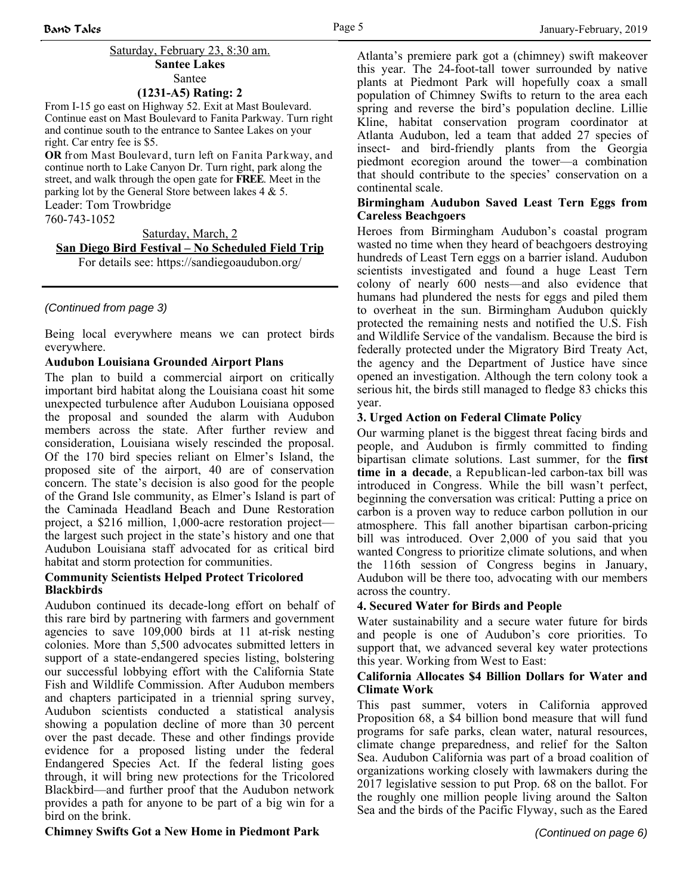#### Saturday, February 23, 8:30 am. **Santee Lakes** Santee

#### **(1231-A5) Rating: 2**

From I-15 go east on Highway 52. Exit at Mast Boulevard. Continue east on Mast Boulevard to Fanita Parkway. Turn right and continue south to the entrance to Santee Lakes on your right. Car entry fee is \$5.

**OR** from Mast Boulevard, turn left on Fanita Parkway, and continue north to Lake Canyon Dr. Turn right, park along the street, and walk through the open gate for **FREE**. Meet in the parking lot by the General Store between lakes 4 & 5. Leader: Tom Trowbridge 760-743-1052

Saturday, March, 2

**San Diego Bird Festival – No Scheduled Field Trip** 

For details see: https://sandiegoaudubon.org/

#### *(Continued from page 3)*

Being local everywhere means we can protect birds everywhere.

#### **Audubon Louisiana Grounded Airport Plans**

The plan to build a commercial airport on critically important bird habitat along the Louisiana coast hit some unexpected turbulence after Audubon Louisiana opposed the proposal and sounded the alarm with Audubon members across the state. After further review and consideration, Louisiana wisely rescinded the proposal. Of the 170 bird species reliant on Elmer's Island, the proposed site of the airport, 40 are of conservation concern. The state's decision is also good for the people of the Grand Isle community, as Elmer's Island is part of the Caminada Headland Beach and Dune Restoration project, a \$216 million, 1,000-acre restoration project the largest such project in the state's history and one that Audubon Louisiana staff advocated for as critical bird habitat and storm protection for communities.

#### **Community Scientists Helped Protect Tricolored Blackbirds**

Audubon continued its decade-long effort on behalf of this rare bird by partnering with farmers and government agencies to save 109,000 birds at 11 at-risk nesting colonies. More than 5,500 advocates submitted letters in support of a state-endangered species listing, bolstering our successful lobbying effort with the California State Fish and Wildlife Commission. After Audubon members and chapters participated in a triennial spring survey, Audubon scientists conducted a statistical analysis showing a population decline of more than 30 percent over the past decade. These and other findings provide evidence for a proposed listing under the federal Endangered Species Act. If the federal listing goes through, it will bring new protections for the Tricolored Blackbird—and further proof that the Audubon network provides a path for anyone to be part of a big win for a bird on the brink.

Atlanta's premiere park got a (chimney) swift makeover this year. The 24-foot-tall tower surrounded by native plants at Piedmont Park will hopefully coax a small population of Chimney Swifts to return to the area each spring and reverse the bird's population decline. Lillie Kline, habitat conservation program coordinator at Atlanta Audubon, led a team that added 27 species of insect- and bird-friendly plants from the Georgia piedmont ecoregion around the tower—a combination that should contribute to the species' conservation on a continental scale.

#### **Birmingham Audubon Saved Least Tern Eggs from Careless Beachgoers**

Heroes from Birmingham Audubon's coastal program wasted no time when they heard of beachgoers destroying hundreds of Least Tern eggs on a barrier island. Audubon scientists investigated and found a huge Least Tern colony of nearly 600 nests—and also evidence that humans had plundered the nests for eggs and piled them to overheat in the sun. Birmingham Audubon quickly protected the remaining nests and notified the U.S. Fish and Wildlife Service of the vandalism. Because the bird is federally protected under the Migratory Bird Treaty Act, the agency and the Department of Justice have since opened an investigation. Although the tern colony took a serious hit, the birds still managed to fledge 83 chicks this year.

#### **3. Urged Action on Federal Climate Policy**

Our warming planet is the biggest threat facing birds and people, and Audubon is firmly committed to finding bipartisan climate solutions. Last summer, for the **first time in a decade**, a Republican-led carbon-tax bill was introduced in Congress. While the bill wasn't perfect, beginning the conversation was critical: Putting a price on carbon is a proven way to reduce carbon pollution in our atmosphere. This fall another bipartisan carbon-pricing bill was introduced. Over 2,000 of you said that you wanted Congress to prioritize climate solutions, and when the 116th session of Congress begins in January, Audubon will be there too, advocating with our members across the country.

#### **4. Secured Water for Birds and People**

Water sustainability and a secure water future for birds and people is one of Audubon's core priorities. To support that, we advanced several key water protections this year. Working from West to East:

#### **California Allocates \$4 Billion Dollars for Water and Climate Work**

This past summer, voters in California approved Proposition 68, a \$4 billion bond measure that will fund programs for safe parks, clean water, natural resources, climate change preparedness, and relief for the Salton Sea. Audubon California was part of a broad coalition of organizations working closely with lawmakers during the 2017 legislative session to put Prop. 68 on the ballot. For the roughly one million people living around the Salton Sea and the birds of the Pacific Flyway, such as the Eared

#### **Chimney Swifts Got a New Home in Piedmont Park**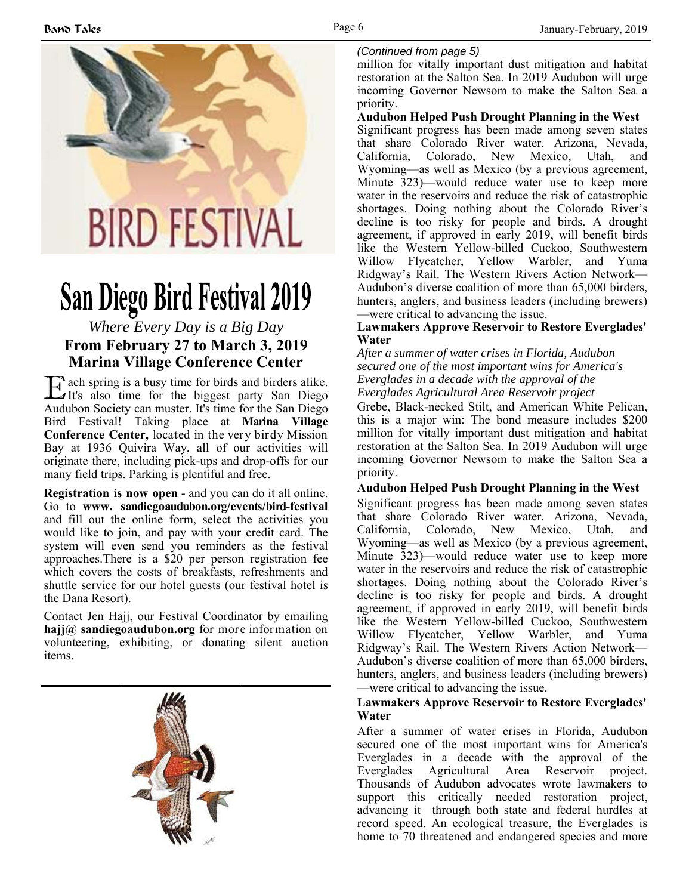

# **San Diego Bird Festival 2019**

## *Where Every Day is a Big Day*  **From February 27 to March 3, 2019 Marina Village Conference Center**

E ach spring is a busy time for birds and birders alike. It's also time for the biggest party San Diego Audubon Society can muster. It's time for the San Diego Bird Festival! Taking place at **Marina Village Conference Center,** located in the very birdy Mission Bay at 1936 Quivira Way, all of our activities will originate there, including pick-ups and drop-offs for our many field trips. Parking is plentiful and free.

**Registration is now open** - and you can do it all online. Go to **www. sandiegoaudubon.org/events/bird-festival**  and fill out the online form, select the activities you would like to join, and pay with your credit card. The system will even send you reminders as the festival approaches.There is a \$20 per person registration fee which covers the costs of breakfasts, refreshments and shuttle service for our hotel guests (our festival hotel is the Dana Resort).

Contact Jen Hajj, our Festival Coordinator by emailing **hajj@ sandiegoaudubon.org** for more information on volunteering, exhibiting, or donating silent auction items.



#### *(Continued from page 5)*

million for vitally important dust mitigation and habitat restoration at the Salton Sea. In 2019 Audubon will urge incoming Governor Newsom to make the Salton Sea a priority.

#### **Audubon Helped Push Drought Planning in the West**

Significant progress has been made among seven states that share Colorado River water. Arizona, Nevada, California, Colorado, New Mexico, Utah, and Wyoming—as well as Mexico (by a previous agreement, Minute 323)—would reduce water use to keep more water in the reservoirs and reduce the risk of catastrophic shortages. Doing nothing about the Colorado River's decline is too risky for people and birds. A drought agreement, if approved in early 2019, will benefit birds like the Western Yellow-billed Cuckoo, Southwestern Willow Flycatcher, Yellow Warbler, and Yuma Ridgway's Rail. The Western Rivers Action Network— Audubon's diverse coalition of more than 65,000 birders, hunters, anglers, and business leaders (including brewers) —were critical to advancing the issue.

#### **Lawmakers Approve Reservoir to Restore Everglades' Water**

*After a summer of water crises in Florida, Audubon secured one of the most important wins for America's Everglades in a decade with the approval of the Everglades Agricultural Area Reservoir project*

Grebe, Black-necked Stilt, and American White Pelican, this is a major win: The bond measure includes \$200 million for vitally important dust mitigation and habitat restoration at the Salton Sea. In 2019 Audubon will urge incoming Governor Newsom to make the Salton Sea a priority.

#### **Audubon Helped Push Drought Planning in the West**

Significant progress has been made among seven states that share Colorado River water. Arizona, Nevada, California, Colorado, New Mexico, Utah, and Wyoming—as well as Mexico (by a previous agreement, Minute 323)—would reduce water use to keep more water in the reservoirs and reduce the risk of catastrophic shortages. Doing nothing about the Colorado River's decline is too risky for people and birds. A drought agreement, if approved in early 2019, will benefit birds like the Western Yellow-billed Cuckoo, Southwestern Willow Flycatcher, Yellow Warbler, and Yuma Ridgway's Rail. The Western Rivers Action Network— Audubon's diverse coalition of more than 65,000 birders, hunters, anglers, and business leaders (including brewers) —were critical to advancing the issue.

#### **Lawmakers Approve Reservoir to Restore Everglades' Water**

After a summer of water crises in Florida, Audubon secured one of the most important wins for America's Everglades in a decade with the approval of the Everglades Agricultural Area Reservoir project. Thousands of Audubon advocates wrote lawmakers to support this critically needed restoration project, advancing it through both state and federal hurdles at record speed. An ecological treasure, the Everglades is home to 70 threatened and endangered species and more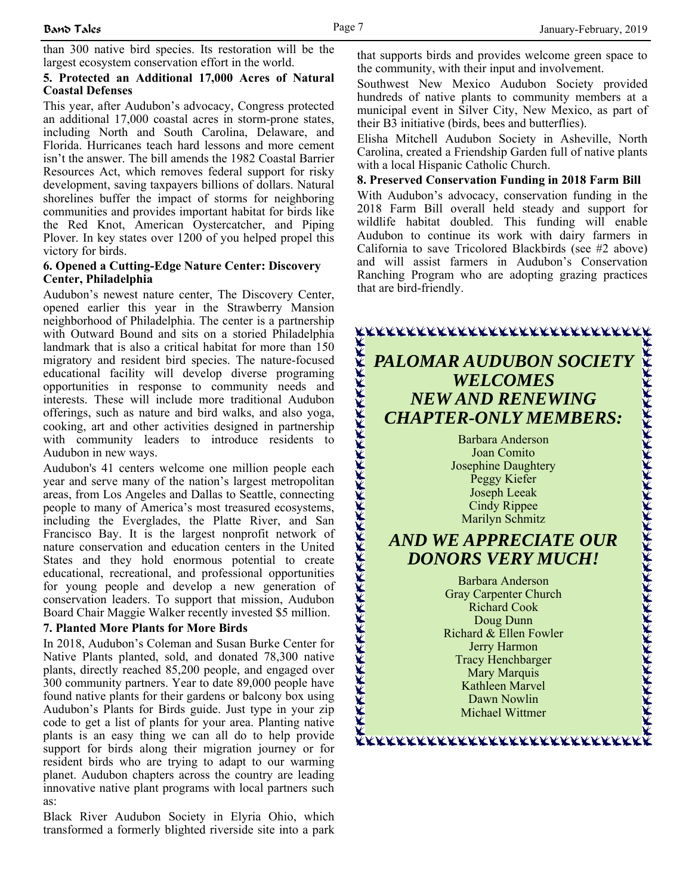than 300 native bird species. Its restoration will be the largest ecosystem conservation effort in the world.

#### **5. Protected an Additional 17,000 Acres of Natural Coastal Defenses**

This year, after Audubon's advocacy, Congress protected an additional 17,000 coastal acres in storm-prone states, including North and South Carolina, Delaware, and Florida. Hurricanes teach hard lessons and more cement isn't the answer. The bill amends the 1982 Coastal Barrier Resources Act, which removes federal support for risky development, saving taxpayers billions of dollars. Natural shorelines buffer the impact of storms for neighboring communities and provides important habitat for birds like the Red Knot, American Oystercatcher, and Piping Plover. In key states over 1200 of you helped propel this victory for birds.

#### **6. Opened a Cutting-Edge Nature Center: Discovery Center, Philadelphia**

Audubon's newest nature center, The Discovery Center, opened earlier this year in the Strawberry Mansion neighborhood of Philadelphia. The center is a partnership with Outward Bound and sits on a storied Philadelphia landmark that is also a critical habitat for more than 150 migratory and resident bird species. The nature-focused educational facility will develop diverse programing opportunities in response to community needs and interests. These will include more traditional Audubon offerings, such as nature and bird walks, and also yoga, cooking, art and other activities designed in partnership with community leaders to introduce residents to Audubon in new ways.

Audubon's 41 centers welcome one million people each year and serve many of the nation's largest metropolitan areas, from Los Angeles and Dallas to Seattle, connecting people to many of America's most treasured ecosystems, including the Everglades, the Platte River, and San Francisco Bay. It is the largest nonprofit network of nature conservation and education centers in the United States and they hold enormous potential to create educational, recreational, and professional opportunities for young people and develop a new generation of conservation leaders. To support that mission, Audubon Board Chair Maggie Walker recently invested \$5 million.

#### **7. Planted More Plants for More Birds**

In 2018, Audubon's Coleman and Susan Burke Center for Native Plants planted, sold, and donated 78,300 native plants, directly reached 85,200 people, and engaged over 300 community partners. Year to date 89,000 people have found native plants for their gardens or balcony box using Audubon's Plants for Birds guide. Just type in your zip code to get a list of plants for your area. Planting native plants is an easy thing we can all do to help provide support for birds along their migration journey or for resident birds who are trying to adapt to our warming planet. Audubon chapters across the country are leading innovative native plant programs with local partners such as:

Black River Audubon Society in Elyria Ohio, which transformed a formerly blighted riverside site into a park that supports birds and provides welcome green space to the community, with their input and involvement.

Southwest New Mexico Audubon Society provided hundreds of native plants to community members at a municipal event in Silver City, New Mexico, as part of their B3 initiative (birds, bees and butterflies).

Elisha Mitchell Audubon Society in Asheville, North Carolina, created a Friendship Garden full of native plants with a local Hispanic Catholic Church.

#### **8. Preserved Conservation Funding in 2018 Farm Bill**

With Audubon's advocacy, conservation funding in the 2018 Farm Bill overall held steady and support for wildlife habitat doubled. This funding will enable Audubon to continue its work with dairy farmers in California to save Tricolored Blackbirds (see #2 above) and will assist farmers in Audubon's Conservation Ranching Program who are adopting grazing practices that are bird-friendly.